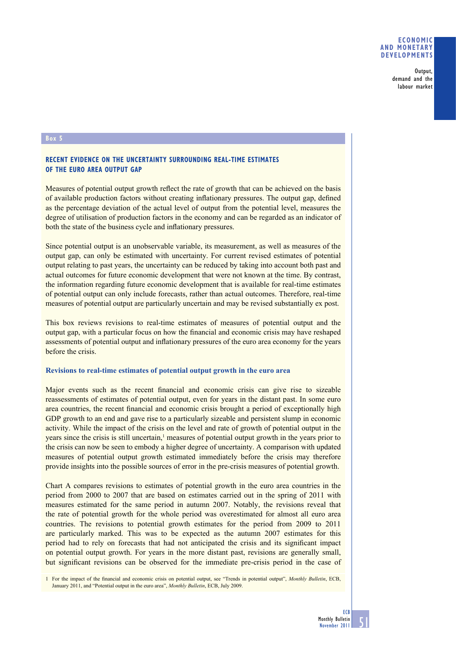## **ECONOMIC AND MONETARY DEVELOPMENTS**

Output, demand and the labour market

#### **Box 5**

# **RECENT EVIDENCE ON THE UNCERTAINTY SURROUNDING REAL-TIME ESTIMATES OF THE EURO AREA OUTPUT GAP**

Measures of potential output growth reflect the rate of growth that can be achieved on the basis of available production factors without creating inflationary pressures. The output gap, defined as the percentage deviation of the actual level of output from the potential level, measures the degree of utilisation of production factors in the economy and can be regarded as an indicator of both the state of the business cycle and inflationary pressures.

Since potential output is an unobservable variable, its measurement, as well as measures of the output gap, can only be estimated with uncertainty. For current revised estimates of potential output relating to past years, the uncertainty can be reduced by taking into account both past and actual outcomes for future economic development that were not known at the time. By contrast, the information regarding future economic development that is available for real-time estimates of potential output can only include forecasts, rather than actual outcomes. Therefore, real-time measures of potential output are particularly uncertain and may be revised substantially ex post.

This box reviews revisions to real-time estimates of measures of potential output and the output gap, with a particular focus on how the financial and economic crisis may have reshaped assessments of potential output and inflationary pressures of the euro area economy for the years before the crisis.

#### **Revisions to real-time estimates of potential output growth in the euro area**

Major events such as the recent financial and economic crisis can give rise to sizeable reassessments of estimates of potential output, even for years in the distant past. In some euro area countries, the recent financial and economic crisis brought a period of exceptionally high GDP growth to an end and gave rise to a particularly sizeable and persistent slump in economic activity. While the impact of the crisis on the level and rate of growth of potential output in the years since the crisis is still uncertain,<sup>1</sup> measures of potential output growth in the years prior to the crisis can now be seen to embody a higher degree of uncertainty. A comparison with updated measures of potential output growth estimated immediately before the crisis may therefore provide insights into the possible sources of error in the pre-crisis measures of potential growth.

Chart A compares revisions to estimates of potential growth in the euro area countries in the period from 2000 to 2007 that are based on estimates carried out in the spring of 2011 with measures estimated for the same period in autumn 2007. Notably, the revisions reveal that the rate of potential growth for the whole period was overestimated for almost all euro area countries. The revisions to potential growth estimates for the period from 2009 to 2011 are particularly marked. This was to be expected as the autumn 2007 estimates for this period had to rely on forecasts that had not anticipated the crisis and its significant impact on potential output growth. For years in the more distant past, revisions are generally small, but significant revisions can be observed for the immediate pre-crisis period in the case of

<sup>1</sup> For the impact of the financial and economic crisis on potential output, see "Trends in potential output", *Monthly Bulletin*, ECB, January 2011, and "Potential output in the euro area", *Monthly Bulletin*, ECB, July 2009.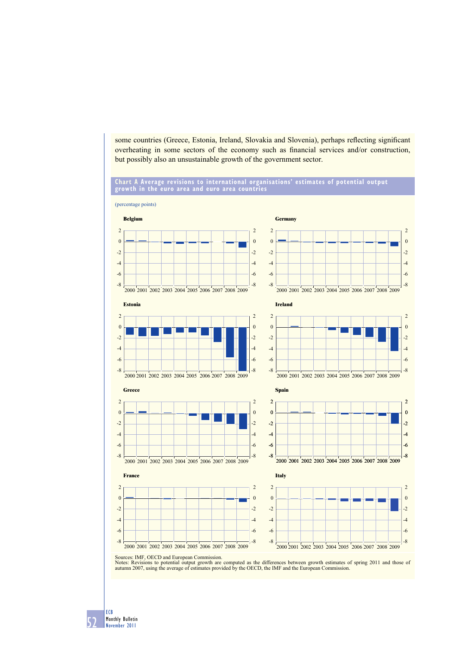some countries (Greece, Estonia, Ireland, Slovakia and Slovenia), perhaps reflecting significant overheating in some sectors of the economy such as financial services and/or construction, but possibly also an unsustainable growth of the government sector.

## **Chart A Average revisions to international organisations' estimates of potential output growth in the euro area and euro area countries**



52 ECB Monthly Bulletin November 2011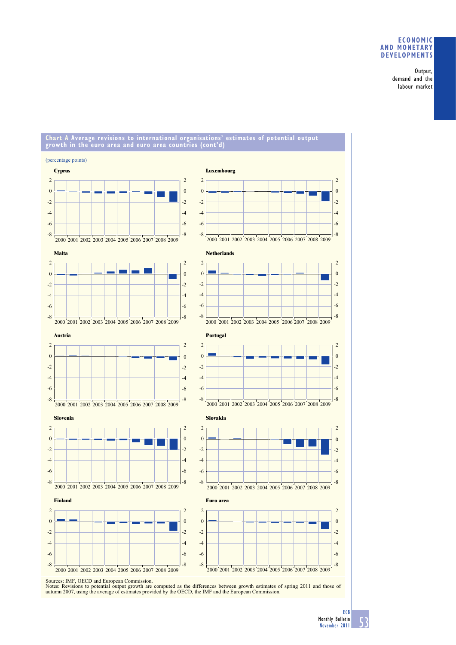## **ECONOMIC AND MONETARY DEVELOPMENTS**

Output, demand and the labour market

#### **Chart A Average revisions to international organisations' estimates of potential output growth in the euro area and euro area countries (cont'd)**



Sources: IMF, OECD and European Commission.<br>Notes: Revisions to potential output growth are computed as the differences between growth estimates of spring 2011 and those of<br>autumn 2007, using the average of estimates provi

2  $\overline{0}$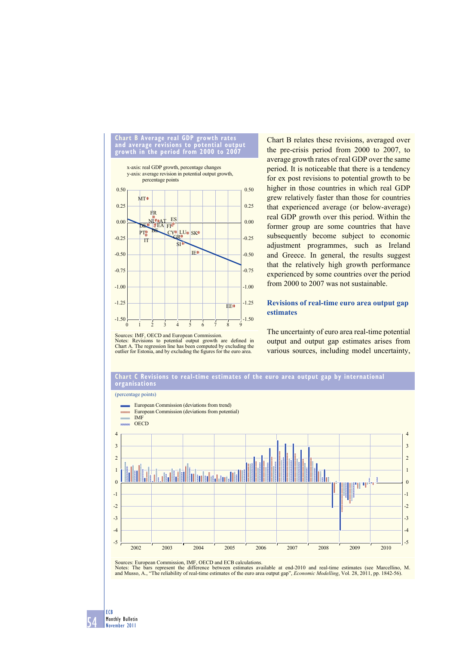

Chart B relates these revisions, averaged over the pre-crisis period from 2000 to 2007, to average growth rates of real GDP over the same period. It is noticeable that there is a tendency for ex post revisions to potential growth to be higher in those countries in which real GDP grew relatively faster than those for countries that experienced average (or below-average) real GDP growth over this period. Within the former group are some countries that have subsequently become subject to economic adjustment programmes, such as Ireland and Greece. In general, the results suggest that the relatively high growth performance experienced by some countries over the period from 2000 to 2007 was not sustainable.

# **Revisions of real-time euro area output gap estimates**

Sources: IMF, OECD and European Commission.

Notes: Revisions to potential output growth are defined in Chart A. The regression line has been computed by excluding the outlier for Estonia, and by excluding the figures for the euro area.

The uncertainty of euro area real-time potential output and output gap estimates arises from various sources, including model uncertainty,



Sources: European Commission, IMF, OECD and ECB calculations.

Notes: The bars represent the difference between estimates available at end-2010 and real-time estimates (see Marcellino, M. and Musso, A., "The reliability of real-time estimates of the euro area output gap", *Economic Modelling*, Vol. 28, 2011, pp. 1842-56).

54 ECB Monthly Bulletin November 2011